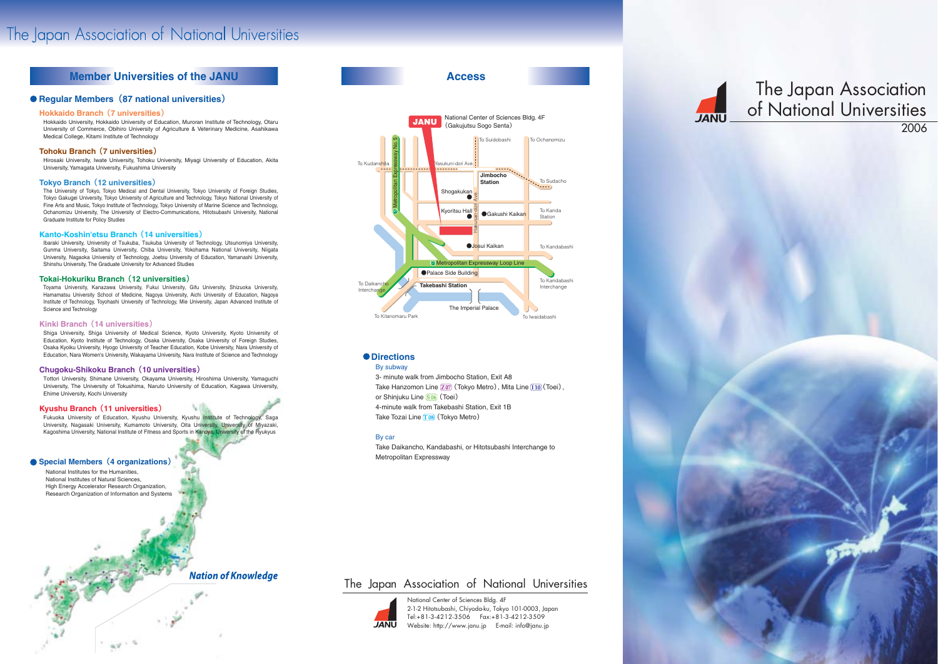**Access**

# The Japan Association of National Universities 2006

3- minute walk from Jimbocho Station, Exit A8 Take Hanzomon Line  $\boxed{707}$  (Tokyo Metro), Mita Line  $\boxed{110}$  (Toei), or Shinjuku Line  $\boxed{S\,06}$  (Toei) 4-minute walk from Takebashi Station, Exit 1B Take Tozai Line T08 (Tokyo Metro)

### **Directions**

#### By subway

### By car

Take Daikancho, Kandabashi, or Hitotsubashi Interchange to Metropolitan Expressway







National Center of Sciences Bldg. 4F 2-1-2 Hitotsubashi, Chiyoda-ku, Tokyo 101-0003, Japan Tel:+81-3-4212-3506 Fax:+81-3-4212-3509 Website: http://www.janu.jp E-mail: info@janu.jp

# The Japan Association of National Universities



# The Japan Association of National Universities

## **Member Universities of the JANU**

### **Regular Members**(**87 national universities**)

National Institutes for the Humanities, National Institutes of Natural Sciences, High Energy Accelerator Research Organization, Research Organization of Information and Systems

### **Nation of Knowledge**

### **Hokkaido Branch** (**7 universities**)

Hokkaido University, Hokkaido University of Education, Muroran Institute of Technology, Otaru University of Commerce, Obihiro University of Agriculture & Veterinary Medicine, Asahikawa Medical College, Kitami Institute of Technology

### **Tohoku Branch** (**7 universities**)

Hirosaki University, Iwate University, Tohoku University, Miyagi University of Education, Akita University, Yamagata University, Fukushima University

#### **Tokyo Branch** (**12 universities**)

The University of Tokyo, Tokyo Medical and Dental University, Tokyo University of Foreign Studies, Tokyo Gakugei University, Tokyo University of Agriculture and Technology, Tokyo National University of Fine Arts and Music, Tokyo Institute of Technology, Tokyo University of Marine Science and Technology, Ochanomizu University, The University of Electro-Communications, Hitotsubashi University, National Graduate Institute for Policy Studies

#### **Kanto-Koshin'etsu Branch** (**14 universities**)

Ibaraki University, University of Tsukuba, Tsukuba University of Technology, Utsunomiya University, Gunma University, Saitama University, Chiba University, Yokohama National University, Niigata University, Nagaoka University of Technology, Joetsu University of Education, Yamanashi University, Shinshu University, The Graduate University for Advanced Studies

### **Tokai-Hokuriku Branch** (**12 universities**)

Toyama University, Kanazawa University, Fukui University, Gifu University, Shizuoka University, Hamamatsu University School of Medicine, Nagoya University, Aichi University of Education, Nagoya Institute of Technology, Toyohashi University of Technology, Mie University, Japan Advanced Institute of Science and Technology

#### **Kinki Branch** (**14 universities**)

Shiga University, Shiga University of Medical Science, Kyoto University, Kyoto University of Education, Kyoto Institute of Technology, Osaka University, Osaka University of Foreign Studies, Osaka Kyoiku University, Hyogo University of Teacher Education, Kobe University, Nara University of Education, Nara Women's University, Wakayama University, Nara Institute of Science and Technology

### **Chugoku-Shikoku Branch** (**10 universities**)

Tottori University, Shimane University, Okayama University, Hiroshima University, Yamaguchi University, The University of Tokushima, Naruto University of Education, Kagawa University, Ehime University, Kochi University

### **Kyushu Branch**(**11 universities**)

Fukuoka University of Education, Kyushu University, Kyushu Institute of Technology, Saga University, Nagasaki University, Kumamoto University, Oita University, University of Miyazaki, Kagoshima University, National Institute of Fitness and Sports in Kanoya, University of the Ryukyus

### **Special Members**(**4 organizations**)